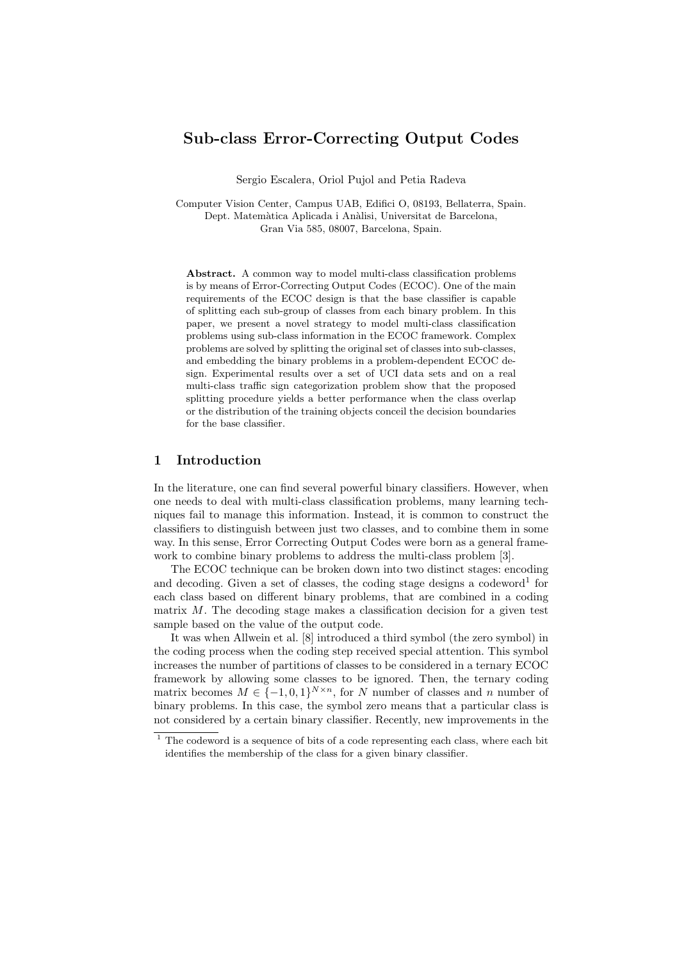# Sub-class Error-Correcting Output Codes

Sergio Escalera, Oriol Pujol and Petia Radeva

Computer Vision Center, Campus UAB, Edifici O, 08193, Bellaterra, Spain. Dept. Matemàtica Aplicada i Anàlisi, Universitat de Barcelona, Gran Via 585, 08007, Barcelona, Spain.

Abstract. A common way to model multi-class classification problems is by means of Error-Correcting Output Codes (ECOC). One of the main requirements of the ECOC design is that the base classifier is capable of splitting each sub-group of classes from each binary problem. In this paper, we present a novel strategy to model multi-class classification problems using sub-class information in the ECOC framework. Complex problems are solved by splitting the original set of classes into sub-classes, and embedding the binary problems in a problem-dependent ECOC design. Experimental results over a set of UCI data sets and on a real multi-class traffic sign categorization problem show that the proposed splitting procedure yields a better performance when the class overlap or the distribution of the training objects conceil the decision boundaries for the base classifier.

# 1 Introduction

In the literature, one can find several powerful binary classifiers. However, when one needs to deal with multi-class classification problems, many learning techniques fail to manage this information. Instead, it is common to construct the classifiers to distinguish between just two classes, and to combine them in some way. In this sense, Error Correcting Output Codes were born as a general framework to combine binary problems to address the multi-class problem [3].

The ECOC technique can be broken down into two distinct stages: encoding and decoding. Given a set of classes, the coding stage designs a codeword<sup>1</sup> for each class based on different binary problems, that are combined in a coding matrix  $M$ . The decoding stage makes a classification decision for a given test sample based on the value of the output code.

It was when Allwein et al. [8] introduced a third symbol (the zero symbol) in the coding process when the coding step received special attention. This symbol increases the number of partitions of classes to be considered in a ternary ECOC framework by allowing some classes to be ignored. Then, the ternary coding matrix becomes  $M \in \{-1,0,1\}^{N \times n}$ , for N number of classes and n number of binary problems. In this case, the symbol zero means that a particular class is not considered by a certain binary classifier. Recently, new improvements in the

 $1$  The codeword is a sequence of bits of a code representing each class, where each bit identifies the membership of the class for a given binary classifier.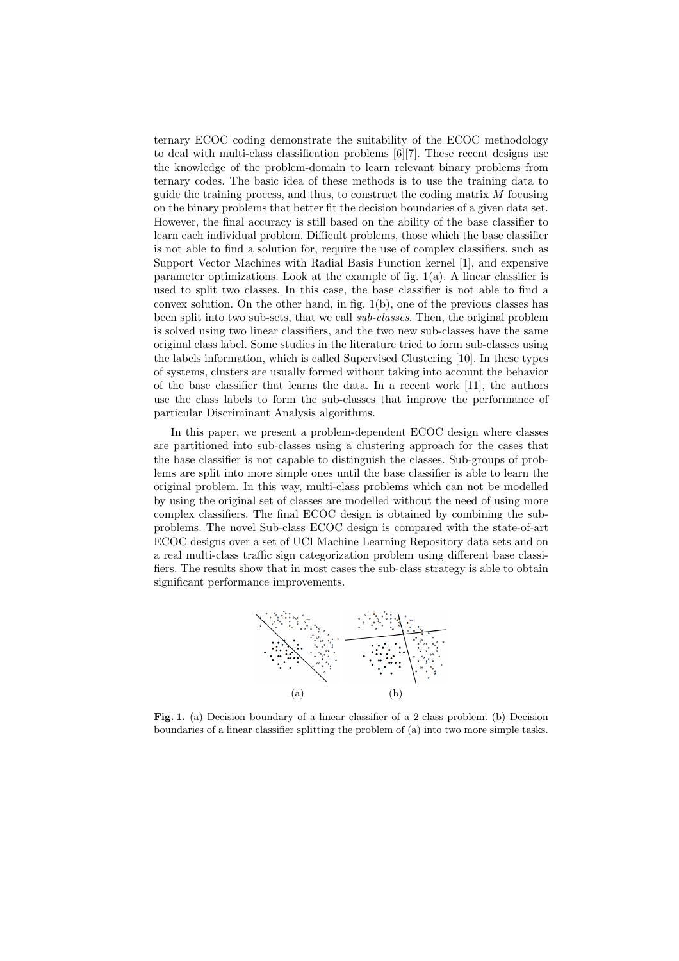ternary ECOC coding demonstrate the suitability of the ECOC methodology to deal with multi-class classification problems [6][7]. These recent designs use the knowledge of the problem-domain to learn relevant binary problems from ternary codes. The basic idea of these methods is to use the training data to guide the training process, and thus, to construct the coding matrix M focusing on the binary problems that better fit the decision boundaries of a given data set. However, the final accuracy is still based on the ability of the base classifier to learn each individual problem. Difficult problems, those which the base classifier is not able to find a solution for, require the use of complex classifiers, such as Support Vector Machines with Radial Basis Function kernel [1], and expensive parameter optimizations. Look at the example of fig.  $1(a)$ . A linear classifier is used to split two classes. In this case, the base classifier is not able to find a convex solution. On the other hand, in fig. 1(b), one of the previous classes has been split into two sub-sets, that we call sub-classes. Then, the original problem is solved using two linear classifiers, and the two new sub-classes have the same original class label. Some studies in the literature tried to form sub-classes using the labels information, which is called Supervised Clustering [10]. In these types of systems, clusters are usually formed without taking into account the behavior of the base classifier that learns the data. In a recent work [11], the authors use the class labels to form the sub-classes that improve the performance of particular Discriminant Analysis algorithms.

In this paper, we present a problem-dependent ECOC design where classes are partitioned into sub-classes using a clustering approach for the cases that the base classifier is not capable to distinguish the classes. Sub-groups of problems are split into more simple ones until the base classifier is able to learn the original problem. In this way, multi-class problems which can not be modelled by using the original set of classes are modelled without the need of using more complex classifiers. The final ECOC design is obtained by combining the subproblems. The novel Sub-class ECOC design is compared with the state-of-art ECOC designs over a set of UCI Machine Learning Repository data sets and on a real multi-class traffic sign categorization problem using different base classifiers. The results show that in most cases the sub-class strategy is able to obtain significant performance improvements.



Fig. 1. (a) Decision boundary of a linear classifier of a 2-class problem. (b) Decision boundaries of a linear classifier splitting the problem of (a) into two more simple tasks.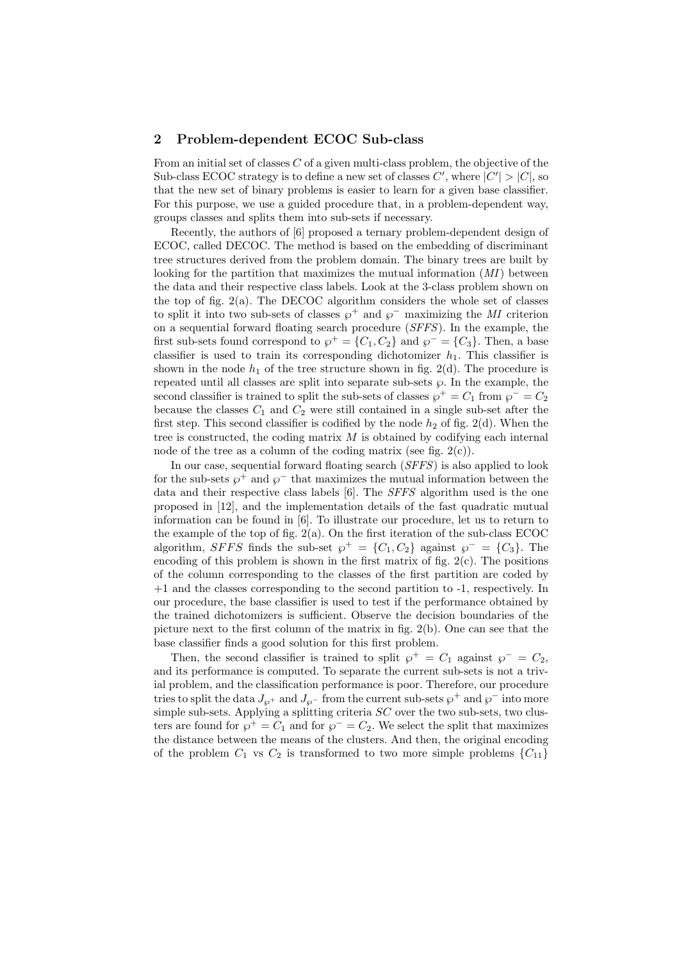# 2 Problem-dependent ECOC Sub-class

From an initial set of classes  $C$  of a given multi-class problem, the objective of the Sub-class ECOC strategy is to define a new set of classes  $C'$ , where  $|C'| > |C|$ , so that the new set of binary problems is easier to learn for a given base classifier. For this purpose, we use a guided procedure that, in a problem-dependent way, groups classes and splits them into sub-sets if necessary.

Recently, the authors of [6] proposed a ternary problem-dependent design of ECOC, called DECOC. The method is based on the embedding of discriminant tree structures derived from the problem domain. The binary trees are built by looking for the partition that maximizes the mutual information  $(MI)$  between the data and their respective class labels. Look at the 3-class problem shown on the top of fig. 2(a). The DECOC algorithm considers the whole set of classes to split it into two sub-sets of classes  $\wp^+$  and  $\wp^-$  maximizing the MI criterion on a sequential forward floating search procedure (SFFS). In the example, the first sub-sets found correspond to  $\varphi^+ = \{C_1, C_2\}$  and  $\varphi^- = \{C_3\}$ . Then, a base classifier is used to train its corresponding dichotomizer  $h_1$ . This classifier is shown in the node  $h_1$  of the tree structure shown in fig. 2(d). The procedure is repeated until all classes are split into separate sub-sets  $\wp$ . In the example, the second classifier is trained to split the sub-sets of classes  $\wp^+ = C_1$  from  $\wp^- = C_2$ because the classes  $C_1$  and  $C_2$  were still contained in a single sub-set after the first step. This second classifier is codified by the node  $h_2$  of fig. 2(d). When the tree is constructed, the coding matrix  $M$  is obtained by codifying each internal node of the tree as a column of the coding matrix (see fig.  $2(c)$ ).

In our case, sequential forward floating search (SFFS) is also applied to look for the sub-sets  $\wp^+$  and  $\wp^-$  that maximizes the mutual information between the data and their respective class labels [6]. The SFFS algorithm used is the one proposed in [12], and the implementation details of the fast quadratic mutual information can be found in [6]. To illustrate our procedure, let us to return to the example of the top of fig.  $2(a)$ . On the first iteration of the sub-class ECOC algorithm, SFFS finds the sub-set  $\wp^+ = \{C_1, C_2\}$  against  $\wp^- = \{C_3\}$ . The encoding of this problem is shown in the first matrix of fig. 2(c). The positions of the column corresponding to the classes of the first partition are coded by +1 and the classes corresponding to the second partition to -1, respectively. In our procedure, the base classifier is used to test if the performance obtained by the trained dichotomizers is sufficient. Observe the decision boundaries of the picture next to the first column of the matrix in fig. 2(b). One can see that the base classifier finds a good solution for this first problem.

Then, the second classifier is trained to split  $\varphi^+ = C_1$  against  $\varphi^- = C_2$ , and its performance is computed. To separate the current sub-sets is not a trivial problem, and the classification performance is poor. Therefore, our procedure tries to split the data  $J_{\wp}$ + and  $J_{\wp}$ - from the current sub-sets  $\wp$ <sup>+</sup> and  $\wp$ <sup>-</sup> into more simple sub-sets. Applying a splitting criteria  $SC$  over the two sub-sets, two clusters are found for  $\wp^+ = C_1$  and for  $\wp^- = C_2$ . We select the split that maximizes the distance between the means of the clusters. And then, the original encoding of the problem  $C_1$  vs  $C_2$  is transformed to two more simple problems  $\{C_{11}\}$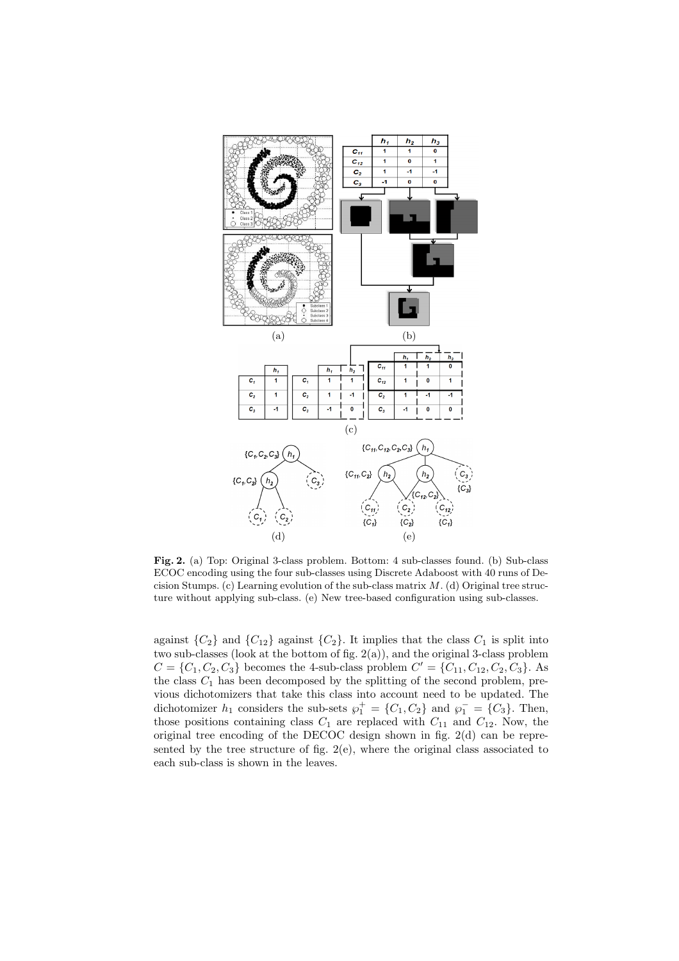

Fig. 2. (a) Top: Original 3-class problem. Bottom: 4 sub-classes found. (b) Sub-class ECOC encoding using the four sub-classes using Discrete Adaboost with 40 runs of Decision Stumps. (c) Learning evolution of the sub-class matrix  $M$ . (d) Original tree structure without applying sub-class. (e) New tree-based configuration using sub-classes.

against  $\{C_2\}$  and  $\{C_{12}\}$  against  $\{C_2\}$ . It implies that the class  $C_1$  is split into two sub-classes (look at the bottom of fig. 2(a)), and the original 3-class problem  $C = \{C_1, C_2, C_3\}$  becomes the 4-sub-class problem  $C' = \{C_{11}, C_{12}, C_2, C_3\}$ . As the class  $C_1$  has been decomposed by the splitting of the second problem, previous dichotomizers that take this class into account need to be updated. The dichotomizer  $h_1$  considers the sub-sets  $\wp_1^+ = \{C_1, C_2\}$  and  $\wp_1^- = \{C_3\}$ . Then, those positions containing class  $C_1$  are replaced with  $C_{11}$  and  $C_{12}$ . Now, the original tree encoding of the DECOC design shown in fig. 2(d) can be represented by the tree structure of fig.  $2(e)$ , where the original class associated to each sub-class is shown in the leaves.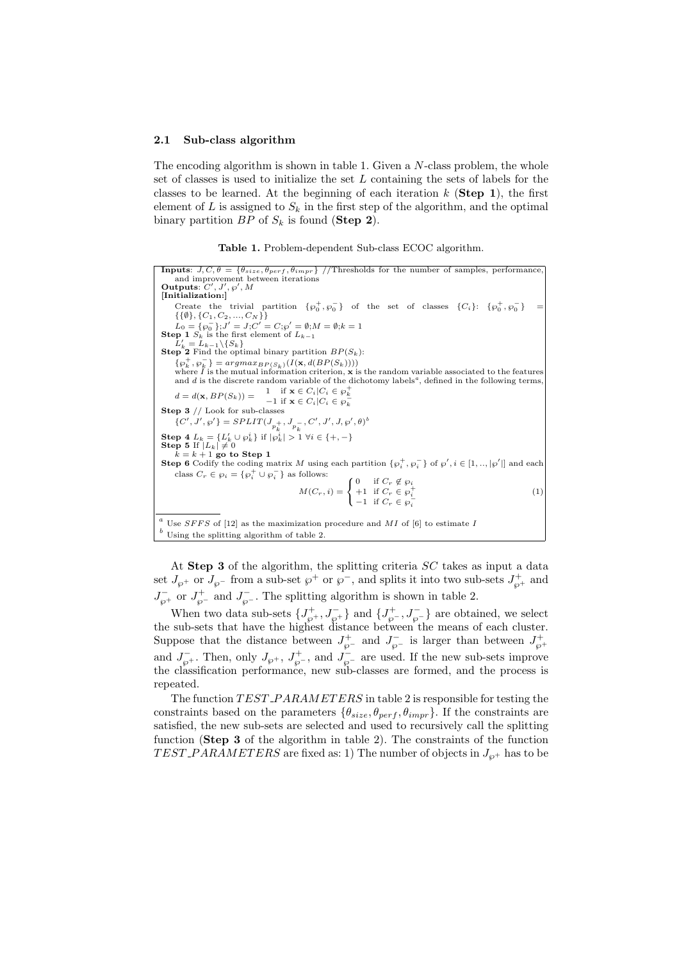#### 2.1 Sub-class algorithm

The encoding algorithm is shown in table 1. Given a  $N$ -class problem, the whole set of classes is used to initialize the set  $L$  containing the sets of labels for the classes to be learned. At the beginning of each iteration  $k$  (Step 1), the first element of L is assigned to  $S_k$  in the first step of the algorithm, and the optimal binary partition  $BP$  of  $S_k$  is found (**Step 2**).



**Inputs**:  $J, C, \theta = \{ \theta_{size}, \theta_{perf}, \theta_{impr} \}$  //Thresholds for the number of samples, performance, and improvement between iterations<br>**Outputs**:  $C', J', \varphi', M$ [Initialization:] Create the trivial partition  $\{\varphi_0^+, \varphi_0^-\}$  of the set of classes  $\{C_i\}$ :  $\{\varphi_0^+, \varphi_0^-\}$  =  $\{\{\emptyset\},\{C_1, C_2, ..., C_N\}\}\$  $L_0 = {\varphi_0^{-}}; J' = J; C' = C; \varphi' = \emptyset; M = \emptyset; k = 1$ Step 1  $S_k$  is the first element of  $L_{k-1}$  $\hat{L}'_k = \hat{L}_{k-1} \setminus \{S_k\}$ <br>**Step 2** Find the optimal binary partition  $BP(S_k)$ :  $\{\wp_k^+, \wp_k^-\} = \operatorname{argmax}_{BP(S_k)}(I(\mathbf{x}, d(BP(S_k))))$ <br>where *I* is the mutual information criterion, **x** is the random variable associated to the features<br>and *d* is the discrete random variable of the dichotomy labels<sup>*a*</sup>, defined in  $d = d(\mathbf{x}, BP(S_k)) = \begin{cases} 1 & \text{if } \mathbf{x} \in C_i | C_i \in \wp_k^+ \\ -1 & \text{if } \mathbf{x} \in C_i | C_i \in \wp_k^- \end{cases}$ Step  $3$  // Look for sub-classes  $\{C',J',\wp'\} = SPLIT(J_{p_{k}^{+}},J_{p_{k}^{-}},C',J',J,\wp',\theta)^{b}$ Step 4  $L_k = \{L'_k \cup \wp_k^i\}$  if  $|\wp_k^i| > 1 \ \forall i \in \{+, -\}$ <br>Step 5 If  $|L_k| \neq 0$ <br> $k = k + 1$  go to Step 1 Step 6 Codify the coding matrix M using each partition  $\{\varphi_i^+, \varphi_i^-\}$  of  $\varphi', i \in [1, ..., |\varphi'|]$  and each class  $C_r \in \wp_i = {\wp_i^+ \cup \wp_i^-}$  as follows:  $M(C_r, i) =$  $\overline{1}$ 1 0 if  $C_r \not\in \wp_i$ +1 if  $C_r \in \wp_i^+$ <br>-1 if  $C_r \in \wp_i^-$ (1)  $a$  Use SFFS of [12] as the maximization procedure and MI of [6] to estimate I  $\real^b$  Using the splitting algorithm of table 2.

At Step 3 of the algorithm, the splitting criteria  $SC$  takes as input a data set  $J_{\wp}$ + or  $J_{\wp}$ - from a sub-set  $\wp$ <sup>+</sup> or  $\wp$ <sup>-</sup>, and splits it into two sub-sets  $J_{\wp}^+$  and  $J_{\wp}^-$  or  $J_{\wp}^+$  and  $J_{\wp}^-$ . The splitting algorithm is shown in table 2.

When two data sub-sets  $\{J_{\wp}^+, J_{\wp}^-\}$  and  $\{J_{\wp}^+, J_{\wp}^-\}$  are obtained, we select the sub-sets that have the highest distance between the means of each cluster. Suppose that the distance between  $J_{\varphi^-}^+$  and  $J_{\varphi^-}^-$  is larger than between  $J_{\varphi^+}^+$ and  $J_{\wp}^-$ . Then, only  $J_{\wp}^+$ ,  $J_{\wp}^+$ , and  $J_{\wp}^-$  are used. If the new sub-sets improve the classification performance, new sub-classes are formed, and the process is repeated.

The function  $TEST\_PARMETERS$  in table 2 is responsible for testing the constraints based on the parameters  $\{\theta_{size}, \theta_{perf}, \theta_{impr}\}\$ . If the constraints are satisfied, the new sub-sets are selected and used to recursively call the splitting function (Step 3 of the algorithm in table 2). The constraints of the function TEST\_PARAMETERS are fixed as: 1) The number of objects in  $J_{\varphi^+}$  has to be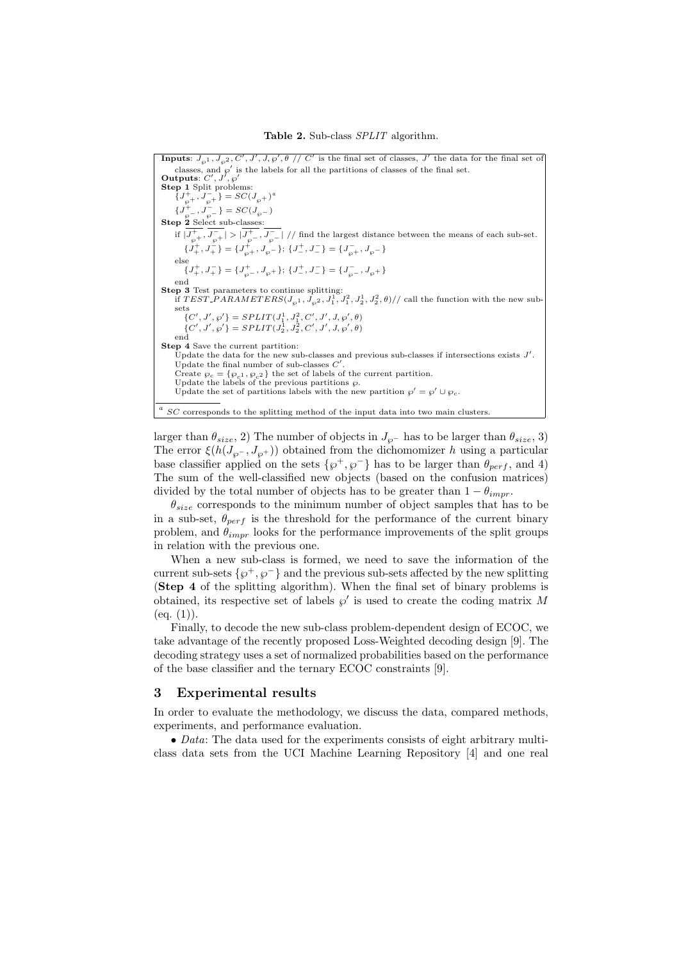**Inputs**:  $J_{\varphi^1}, J_{\varphi^2}, C', J', J, \varphi', \theta \text{ // } C'$  is the final set of classes,  $J'$  the data for the final set of classes, and  $\rho'$  is the labels for all the partitions of classes of the final set.<br>Outputs:  $C', J', \rho'$ **Step 1** Split problems:  $\{J_{\wp +}^+, J_{\wp +}^- \} = SC(J_{\wp +})^d$  ${J_{\wp^-}^+, J_{\wp^-}^-} = SC(J_{\wp^-})$ <br>Step 2 Select sub-classes: if  $|J_{\wp^+}^+, J_{\wp^-}^-| > |J_{\wp^-}^-, J_{\wp^-}^-|$  // find the largest distance between the means of each sub-set.  $\{J^+_+, J^-_+\} = \{J^+_{\wp +}, J^-_{\wp -}\}; \ \{J^+_-, J^-_-\} = \{J^-_{\wp +}, J^-_{\wp -}\}$ else  $\{J^+_+, J^-_+\} = \{J^+_{\wp^-}, J^-_{\wp^+}\}; \ \{J^+_-, J^-_-\} = \{J^-_{\wp^-}, J^-_{\wp^+}\}$ end **Step 3** Test parameters to continue splitting:<br>
if TEST\_PARAMETERS( $J_{\wp 1}$ ,  $J_{\wp 2}$ ,  $J_1^1$ ,  $J_1^2$ ,  $J_2^1$ ,  $J_2^2$ ,  $\theta$ )// call the function with the new subsets  $\{C', J', \wp'\} = SPLIT(J_1^1, J_1^2, C', J', J, \wp', \theta)$  $\{C',J',\wp'\}=SPLIT(J_2^1,J_2^2,C',J',J,\wp',\theta)$ end Step 4 Save the current partition: Update the data for the new sub-classes and previous sub-classes if intersections exists  $J'$ . Update the final number of sub-classes  $C$ Update the final number of sub-classes C'.<br>Create  $\wp_c = {\wp_c}_1, \wp_c}_2$  the set of labels of the current partition.<br>Update the labels of the previous partitions  $\wp$ . Update the set of partitions labels with the new partition  $\varphi' = \varphi' \cup \varphi_c$ .  $a$  SC corresponds to the splitting method of the input data into two main clusters.

larger than  $\theta_{size}$ , 2) The number of objects in  $J_{\varphi}$ − has to be larger than  $\theta_{size}$ , 3) The error  $\xi(h(J_{\varphi}, J_{\varphi^+}))$  obtained from the dichomomizer h using a particular base classifier applied on the sets  $\{\wp^+, \wp^-\}$  has to be larger than  $\theta_{perf}$ , and 4) The sum of the well-classified new objects (based on the confusion matrices) divided by the total number of objects has to be greater than  $1 - \theta_{impr}$ .

 $\theta_{size}$  corresponds to the minimum number of object samples that has to be in a sub-set,  $\theta_{nerf}$  is the threshold for the performance of the current binary problem, and  $\theta_{impr}$  looks for the performance improvements of the split groups in relation with the previous one.

When a new sub-class is formed, we need to save the information of the current sub-sets  $\{\varphi^+, \varphi^-\}$  and the previous sub-sets affected by the new splitting (Step 4 of the splitting algorithm). When the final set of binary problems is obtained, its respective set of labels  $\wp'$  is used to create the coding matrix M  $(eq. (1)).$ 

Finally, to decode the new sub-class problem-dependent design of ECOC, we take advantage of the recently proposed Loss-Weighted decoding design [9]. The decoding strategy uses a set of normalized probabilities based on the performance of the base classifier and the ternary ECOC constraints [9].

### 3 Experimental results

In order to evaluate the methodology, we discuss the data, compared methods, experiments, and performance evaluation.

• Data: The data used for the experiments consists of eight arbitrary multiclass data sets from the UCI Machine Learning Repository [4] and one real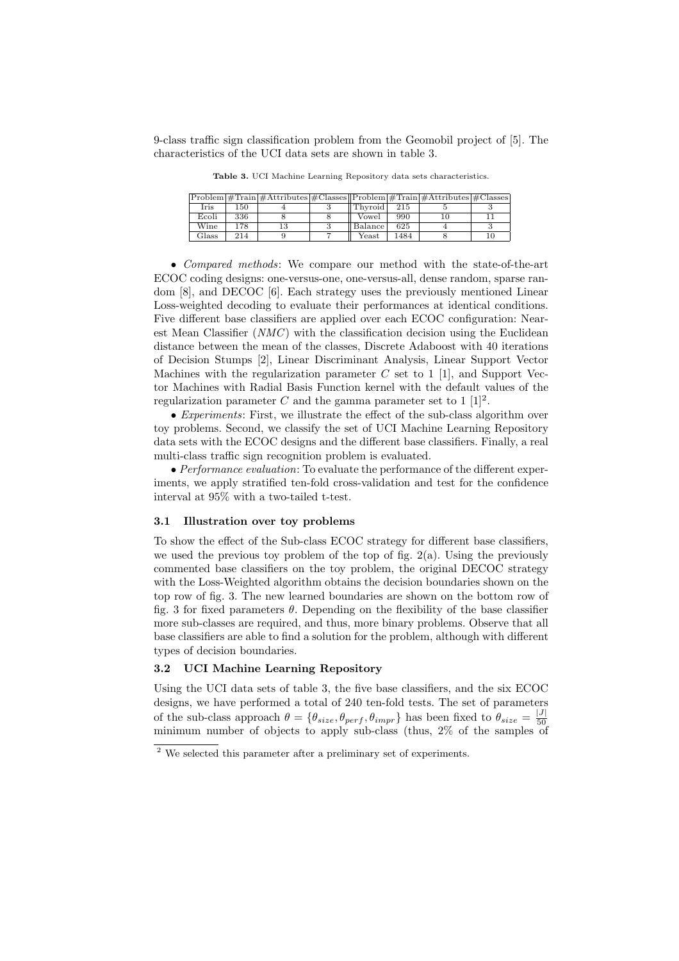9-class traffic sign classification problem from the Geomobil project of [5]. The characteristics of the UCI data sets are shown in table 3.

|       |     | $\text{Problem}$ #Train $\#$ Attributes $\#$ Classes $\text{Problem}$ #Train $\#$ Attributes $\#$ Classes $\text{Time}$ |             |      |  |
|-------|-----|-------------------------------------------------------------------------------------------------------------------------|-------------|------|--|
| Iris  | 150 |                                                                                                                         | Thyroid     | 215  |  |
| Ecoli | 336 |                                                                                                                         | Vowel       | 990  |  |
| Wine  | 178 | 13                                                                                                                      | Balance     | 625  |  |
| Glass | 214 |                                                                                                                         | $\rm Yeast$ | 1484 |  |

Table 3. UCI Machine Learning Repository data sets characteristics.

• *Compared methods*: We compare our method with the state-of-the-art ECOC coding designs: one-versus-one, one-versus-all, dense random, sparse random [8], and DECOC [6]. Each strategy uses the previously mentioned Linear Loss-weighted decoding to evaluate their performances at identical conditions. Five different base classifiers are applied over each ECOC configuration: Nearest Mean Classifier  $(NMC)$  with the classification decision using the Euclidean distance between the mean of the classes, Discrete Adaboost with 40 iterations of Decision Stumps [2], Linear Discriminant Analysis, Linear Support Vector Machines with the regularization parameter  $C$  set to 1 [1], and Support Vector Machines with Radial Basis Function kernel with the default values of the regularization parameter C and the gamma parameter set to  $1 \; 1 \; 2$ .

• Experiments: First, we illustrate the effect of the sub-class algorithm over toy problems. Second, we classify the set of UCI Machine Learning Repository data sets with the ECOC designs and the different base classifiers. Finally, a real multi-class traffic sign recognition problem is evaluated.

• Performance evaluation: To evaluate the performance of the different experiments, we apply stratified ten-fold cross-validation and test for the confidence interval at 95% with a two-tailed t-test.

### 3.1 Illustration over toy problems

To show the effect of the Sub-class ECOC strategy for different base classifiers, we used the previous toy problem of the top of fig. 2(a). Using the previously commented base classifiers on the toy problem, the original DECOC strategy with the Loss-Weighted algorithm obtains the decision boundaries shown on the top row of fig. 3. The new learned boundaries are shown on the bottom row of fig. 3 for fixed parameters  $\theta$ . Depending on the flexibility of the base classifier more sub-classes are required, and thus, more binary problems. Observe that all base classifiers are able to find a solution for the problem, although with different types of decision boundaries.

#### 3.2 UCI Machine Learning Repository

Using the UCI data sets of table 3, the five base classifiers, and the six ECOC designs, we have performed a total of 240 ten-fold tests. The set of parameters of the sub-class approach  $\theta = \{\theta_{size}, \theta_{perf}, \theta_{impr}\}\$  has been fixed to  $\theta_{size} = \frac{|J|}{50}$ 50 minimum number of objects to apply sub-class (thus, 2% of the samples of

<sup>2</sup> We selected this parameter after a preliminary set of experiments.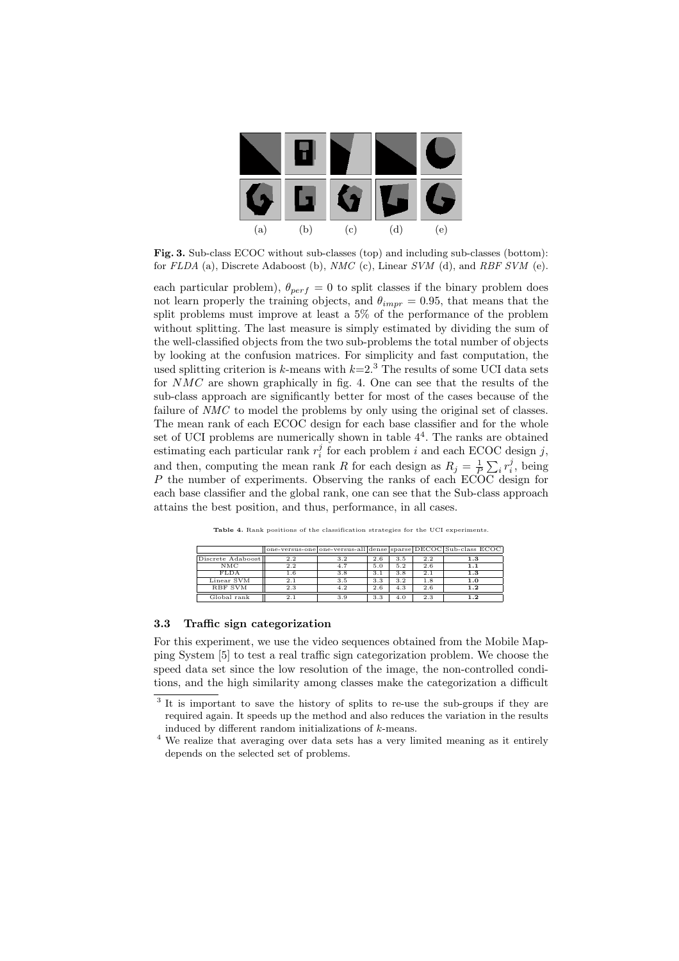

Fig. 3. Sub-class ECOC without sub-classes (top) and including sub-classes (bottom): for FLDA (a), Discrete Adaboost (b), NMC (c), Linear SVM (d), and RBF SVM (e).

each particular problem),  $\theta_{perf} = 0$  to split classes if the binary problem does not learn properly the training objects, and  $\theta_{impr} = 0.95$ , that means that the split problems must improve at least a 5% of the performance of the problem without splitting. The last measure is simply estimated by dividing the sum of the well-classified objects from the two sub-problems the total number of objects by looking at the confusion matrices. For simplicity and fast computation, the used splitting criterion is k-means with  $k=2<sup>3</sup>$ . The results of some UCI data sets for  $NMC$  are shown graphically in fig. 4. One can see that the results of the sub-class approach are significantly better for most of the cases because of the failure of NMC to model the problems by only using the original set of classes. The mean rank of each ECOC design for each base classifier and for the whole set of UCI problems are numerically shown in table  $4<sup>4</sup>$ . The ranks are obtained estimating each particular rank  $r_i^j$  for each problem i and each ECOC design j, and then, computing the mean rank R for each design as  $R_j = \frac{1}{P} \sum_i r_i^j$ , being P the number of experiments. Observing the ranks of each ECOC design for each base classifier and the global rank, one can see that the Sub-class approach attains the best position, and thus, performance, in all cases.

|                   |          |     |     |     |     | one-versus-one one-versus-all dense sparse DECOC Sub-class ECOC |
|-------------------|----------|-----|-----|-----|-----|-----------------------------------------------------------------|
| Discrete Adaboost | 2.2      | 3.2 | 2.6 | 3.5 | 2.2 | 1.3                                                             |
| NMC               | 2.2      | 4.7 | 5.0 | 5.2 | 2.6 |                                                                 |
| <b>FLDA</b>       | $^{1.6}$ | 3.8 | 3.1 | 3.8 | 2.1 | $_{1.3}$                                                        |
| Linear SVM        | 2.1      | 3.5 | 3.3 | 3.2 | 1.8 | 1.0                                                             |
| <b>RBF SVM</b>    | 2.3      | 4.2 | 2.6 | 4.3 | 2.6 | $^{1.2}$                                                        |
| Global rank       |          | 3.9 | 3.3 |     | 2.3 |                                                                 |

Table 4. Rank positions of the classification strategies for the UCI experiments.

### 3.3 Traffic sign categorization

For this experiment, we use the video sequences obtained from the Mobile Mapping System [5] to test a real traffic sign categorization problem. We choose the speed data set since the low resolution of the image, the non-controlled conditions, and the high similarity among classes make the categorization a difficult

<sup>&</sup>lt;sup>3</sup> It is important to save the history of splits to re-use the sub-groups if they are required again. It speeds up the method and also reduces the variation in the results induced by different random initializations of k-means.

<sup>4</sup> We realize that averaging over data sets has a very limited meaning as it entirely depends on the selected set of problems.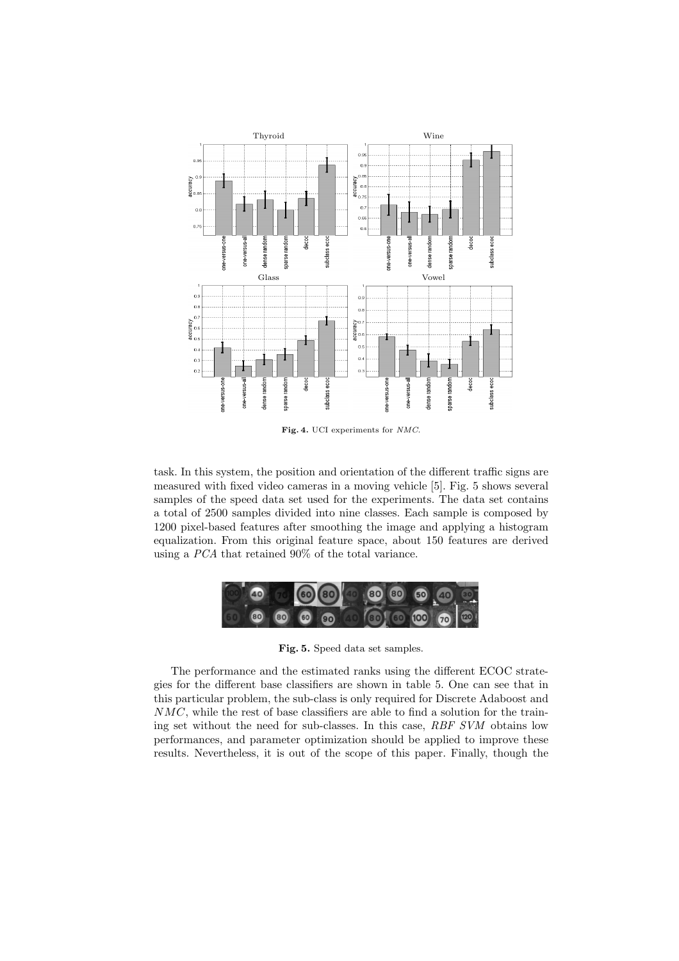

Fig. 4. UCI experiments for NMC.

task. In this system, the position and orientation of the different traffic signs are measured with fixed video cameras in a moving vehicle [5]. Fig. 5 shows several samples of the speed data set used for the experiments. The data set contains a total of 2500 samples divided into nine classes. Each sample is composed by 1200 pixel-based features after smoothing the image and applying a histogram equalization. From this original feature space, about 150 features are derived using a PCA that retained 90% of the total variance.



Fig. 5. Speed data set samples.

The performance and the estimated ranks using the different ECOC strategies for the different base classifiers are shown in table 5. One can see that in this particular problem, the sub-class is only required for Discrete Adaboost and NMC, while the rest of base classifiers are able to find a solution for the training set without the need for sub-classes. In this case, RBF SVM obtains low performances, and parameter optimization should be applied to improve these results. Nevertheless, it is out of the scope of this paper. Finally, though the